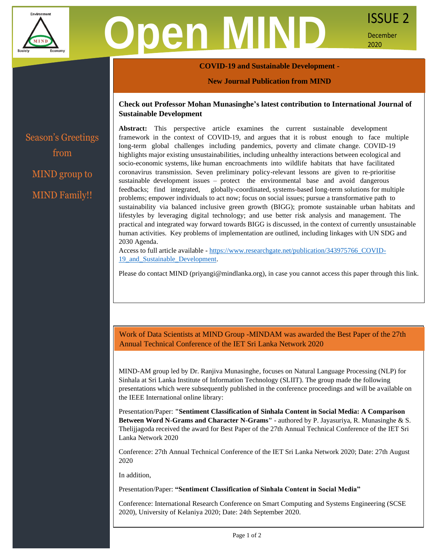

# **Oen MIND** ISSUE 2

December 2020

## **COVID-19 and Sustainable Development -**

### **New Journal Publication from MIND**

# **Check out Professor Mohan Munasinghe's latest contribution to International Journal of Sustainable Development**

Season's Greetings from MIND group to MIND Family!!

**Abstract:** This perspective article examines the current sustainable development framework in the context of COVID-19, and argues that it is robust enough to face multiple long-term global challenges including pandemics, poverty and climate change. COVID-19 highlights major existing unsustainabilities, including unhealthy interactions between ecological and socio-economic systems, like human encroachments into wildlife habitats that have facilitated coronavirus transmission. Seven preliminary policy-relevant lessons are given to re-prioritise sustainable development issues – protect the environmental base and avoid dangerous feedbacks; find integrated, globally-coordinated, systems-based long-term solutions for multiple problems; empower individuals to act now; focus on social issues; pursue a transformative path to sustainability via balanced inclusive green growth (BIGG); promote sustainable urban habitats and lifestyles by leveraging digital technology; and use better risk analysis and management. The practical and integrated way forward towards BIGG is discussed, in the context of currently unsustainable human activities. Key problems of implementation are outlined, including linkages with UN SDG and 2030 Agenda.

Access to full article available - [https://www.researchgate.net/publication/343975766\\_COVID-](https://www.researchgate.net/publication/343975766_COVID-19_and_Sustainable_Development)19 and Sustainable Development.

Please do contact MIND (priyangi@mindlanka.org), in case you cannot access this paper through this link.

Work of Data Scientists at MIND Group -MINDAM was awarded the Best Paper of the 27th Annual Technical Conference of the IET Sri Lanka Network 2020

MIND-AM group led by Dr. Ranjiva Munasinghe, focuses on Natural Language Processing (NLP) for Sinhala at Sri Lanka Institute of Information Technology (SLIIT). The group made the following presentations which were subsequently published in the conference proceedings and will be available on the IEEE International online library:

Presentation/Paper: **"Sentiment Classification of Sinhala Content in Social Media: A Comparison Between Word N-Grams and Character N-Grams"** - authored by P. Jayasuriya, R. Munasinghe & S. Thelijjagoda received the award for Best Paper of the 27th Annual Technical Conference of the IET Sri Lanka Network 2020

Conference: 27th Annual Technical Conference of the IET Sri Lanka Network 2020; Date: 27th August 2020

In addition,

Presentation/Paper: **"Sentiment Classification of Sinhala Content in Social Media"**

Conference: International Research Conference on Smart Computing and Systems Engineering (SCSE 2020), University of Kelaniya 2020; Date: 24th September 2020.